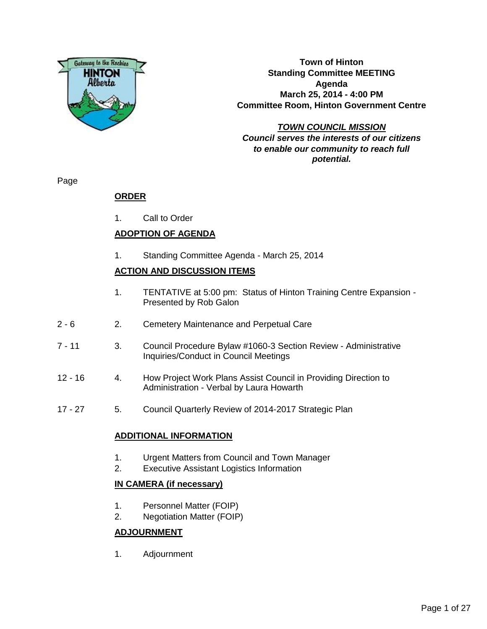

**Town of Hinton Standing Committee MEETING Agenda March 25, 2014 - 4:00 PM Committee Room, Hinton Government Centre**

**TOWN COUNCIL MISSION Council serves the interests of our citizens to enable our community to reach full potential.**

Page

### **ORDER**

1. Call to Order

### **ADOPTION OF AGENDA**

1. Standing Committee Agenda - March 25, 2014

#### **ACTION AND DISCUSSION ITEMS**

- 1. TENTATIVE at 5:00 pm: Status of Hinton Training Centre Expansion Presented by Rob Galon
- 2 6 2. Cemetery Maintenance and Perpetual Care
- 7 11 3. Council Procedure Bylaw #1060-3 Section Review Administrative Inquiries/Conduct in Council Meetings
- 12 16 4. How Project Work Plans Assist Council in Providing Direction to Administration - Verbal by Laura Howarth
- 17 27 5. Council Quarterly Review of 2014-2017 Strategic Plan

#### **ADDITIONAL INFORMATION**

- 1. Urgent Matters from Council and Town Manager
- 2. Executive Assistant Logistics Information

#### **IN CAMERA (if necessary)**

- 1. Personnel Matter (FOIP)
- 2. Negotiation Matter (FOIP)

#### **ADJOURNMENT**

1. Adjournment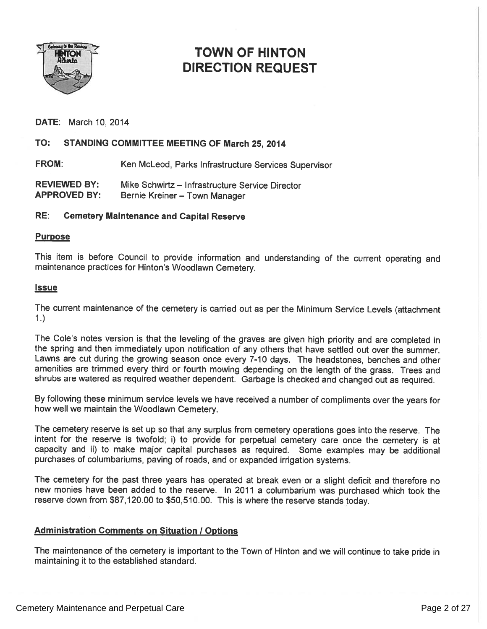

## TOWN OF HINTON DIRECTION REQUEST

DATE: March 10, 2014

#### TO: STANDING COMMITTEE MEETING OF March 25, 2014

FROM: Ken McLeod, Parks Infrastructure Services Supervisor

REVIEWED BY: Mike Schwirtz — Infrastructure Service Director APPROVED BY: Bernie Kreiner — Town Manager

#### RE: Cemetery Maintenance and Capital Reserve

#### Purpose

This item is before Council to provide information and understanding of the current operating and maintenance practices for Hinton's Woodlawn Cemetery.

#### **Issue**

The current maintenance of the cemetery is carried out as per the Minimum Service Levels (attachment 1.)

The Cole's notes version is that the leveling of the graves are <sup>g</sup>iven high priority and are completed in the spring and then immediately upon notification of any others that have settled out over the summer. Lawns are cut during the growing season once every 7-10 days. The headstones, benches and other amenities are trimmed every third or fourth mowing depending on the length of the grass. Trees and shrubs are watered as required weather dependent. Garbage is checked and changed out as required.

By following these minimum service levels we have received <sup>a</sup> number of compliments over the years for how well we maintain the Woodlawn Cemetery.

The cemetery reserve is set up so that any surplus from cemetery operations goes into the reserve. The intent for the reserve is twofold; i) to provide for perpetual cemetery care once the cemetery is at capacity and ii) to make major capital purchases as required. Some examples may be additional purchases of columbariums, paving of roads, and or expanded irrigation systems.

The cemetery for the pas<sup>t</sup> three years has operated at break even or <sup>a</sup> slight deficit and therefore no new monies have been added to the reserve. In <sup>2011</sup> <sup>a</sup> columbarium was purchased which took the reserve down from \$87,120.00 to \$50,510.00. This is where the reserve stands today.

#### **Administration Comments on Situation / Options**

The maintenance of the cemetery is important to the Town of Hinton and we will continue to take pride in maintaining it to the established standard.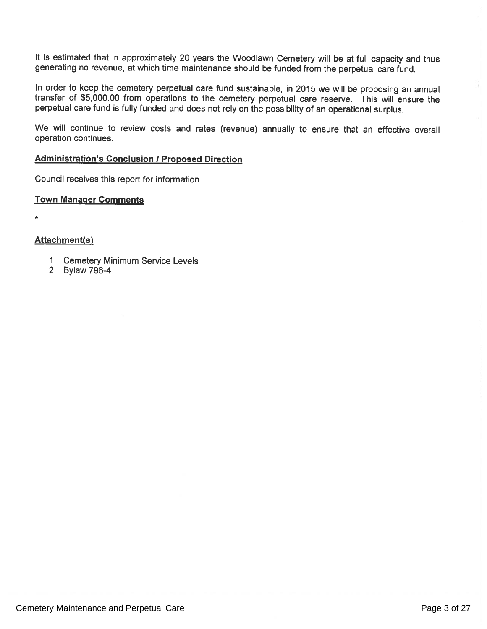It is estimated that in approximately 20 years the Woodlawn Cemetery will be at full capacity and thus generating no revenue, at which time maintenance should be funded from the perpetual care fund.

In order to keep the cemetery perpetual care fund sustainable, in <sup>2015</sup> we will be proposing an annual transfer of \$5,000.00 from operations to the cemetery perpetual care reserve. This will ensure the perpetual care fund is fully funded and does not rely on the possibility of an operational surplus.

We will continue to review costs and rates (revenue) annually to ensure that an effective overall operation continues.

#### **Administration's Conclusion / Proposed Direction**

Council receives this report for information

#### Town Manager Comments

\*

#### Attachment(s)

- 1. Cemetery Minimum Service Levels
- 2. Bylaw 796-4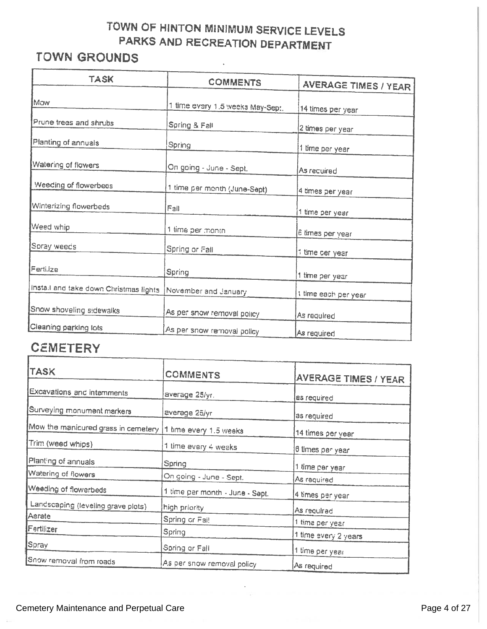# TOWN OF HINTON MINIMUM SERVICE LEVELS PARKS AND RECREATION DEPARTMENT

# TOWN GROUNDS

| <b>TASK</b>                                                  |                                  |                             |
|--------------------------------------------------------------|----------------------------------|-----------------------------|
|                                                              | <b>COMMENTS</b>                  | <b>AVERAGE TIMES / YEAR</b> |
| Maw                                                          | 1 time every 1.5 weeks May-Sept. | 14 times per year           |
| Prune trees and shrubs                                       | Spring & Fall                    | 2 times per year            |
| Planting of annuals                                          | Spring                           | 1 time per year             |
| Watering of flowers                                          | On going - June - Sept.          | As required                 |
| Weeding of flowerbeas                                        | 1 time per month (June-Sept)     | 4 times per year            |
| Winterizing flowerbeds                                       | Fall                             | 1 time per year             |
| Weed whip                                                    | 1 time per month                 | ê times per year            |
| Soray weeds                                                  | Spring or Fall                   | t time der year             |
| Fertilize                                                    | Spring                           | 1 time per year             |
| Install and take down Christmas lights  November and January |                                  | t time each per year        |
| Snow shoveling sidewalks                                     | As per snow removal policy       | As required                 |
| Cleaning parking lots                                        | As per snow removal policy       | As required                 |

## **CEMETERY**

| <b>TASK</b>                                                 | <b>COMMENTS</b>                 | <b>AVERAGE TIMES / YEAR</b>  |
|-------------------------------------------------------------|---------------------------------|------------------------------|
| Excavations and internments                                 | average 25/yr.                  | as required                  |
| Surveying monument markers                                  | average 25/yr                   | as required                  |
| Mow the manicured grass in cemetery  1 time every 1.5 weeks |                                 | 14 times per year            |
| Trim (weed whips)                                           | 1 time every 4 weeks            | 6 limes per year             |
| Planting of annuals                                         | Spring                          | 1 time per year              |
| Watering of flowers                                         | On going - June - Sept.         | As required                  |
| Weeding of flowerbeds                                       | 1 time per month - June - Sept. | 4 times per year             |
| Landscaping (leveling grave plots)                          | high priority                   | As required                  |
| Aerate                                                      | Spring or Fai!                  | 1 time per year              |
| Fertilizer                                                  | <b>Spring</b>                   | 1 time every 2 years         |
| Spray                                                       | Spring or Fall                  | <sub>i</sub> 1 time per year |
| Snow removal from roads                                     | As per snow removal policy      | As required                  |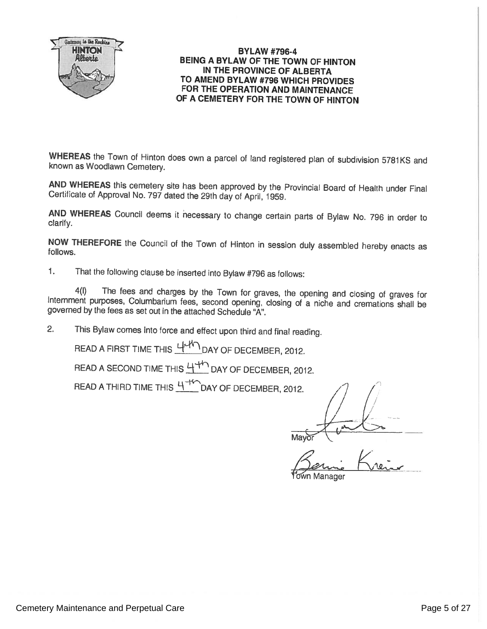

#### BYLAW #796-4 BEING A BYLAW OF THE TOWN OF HINTON IN THE PROVINCE OF ALBERTA TO AMEND BYLAW #796 WHICH PROVIDES FOR THE OPERATION AND MAINTENANCE OF A CEMETERY FOR THE TOWN OF HINTON

WHEREAS the Town of Hinton does own a parcel of land registered plan of subdivision 5781KS and known as Woodlawn Cemetery.

AND WHEREAS this cemetery site has been approved by the Provincial Board of Health under Final Certificate of Approval No. <sup>797</sup> dated the 29th day of April, 1959.

AND WHEREAS Council deems it necessary to change certain parts of Bylaw No. 796 in order to clarify.

NOW THEREFORE the Council of the Town of Hinton in session duly assembled hereby enacts as follows.

1. That the following clause be inserted into Bylaw #796 as follows:

4(I) The fees and charges by the Town for graves, the opening and closing of graves for internment purposes, Columbarium fees, second opening, closing of a niche and cremations shall be governed by the fees as set out in t

2. This Bylaw comes into force and effect upon third and final reading.

READ A FIRST TIME THIS  $44 \sqrt{ }$  DAY OF DECEMBER, 2012.

READ A SECOND TIME THIS  $H^+$  DAY OF DECEMBER, 2012.

READ A THIRD TIME THIS  $\frac{44}{10}$  DAY OF DECEMBER, 2012.

1/ Mayor

 $K_{10}$ Manager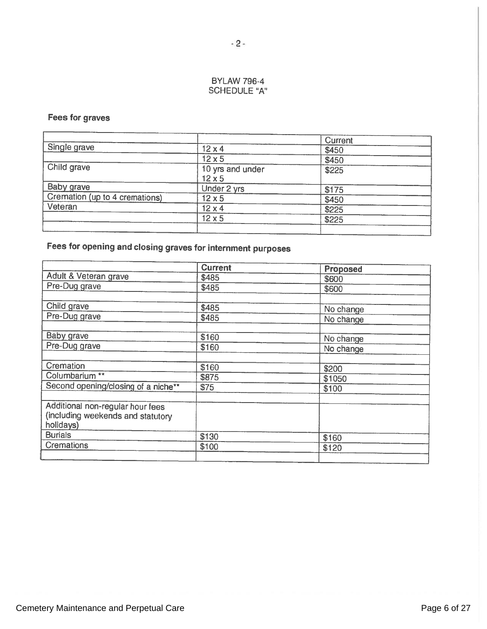#### BYLAW 796-4 SCHEDULE "A"

#### Fees for graves

|                                |                                   | Current |  |
|--------------------------------|-----------------------------------|---------|--|
| Single grave                   | $12 \times 4$                     | \$450   |  |
|                                | $12\times 5$                      | \$450   |  |
| Child grave                    | 10 yrs and under<br>$12 \times 5$ | \$225   |  |
| Baby grave                     | Under 2 yrs                       | \$175   |  |
| Cremation (up to 4 cremations) | $12 \times 5$                     | \$450   |  |
| Veteran                        | $12 \times 4$                     | \$225   |  |
|                                | $12 \times 5$                     | \$225   |  |
|                                |                                   |         |  |

# Fees for opening and closing graves for internment purposes

|                                     | <b>Current</b> | Proposed  |
|-------------------------------------|----------------|-----------|
| Adult & Veteran grave               | \$485          | \$600     |
| Pre-Dug grave                       | \$485          | \$600     |
|                                     |                |           |
| Child grave                         | \$485          | No change |
| Pre-Dug grave                       | \$485          | No change |
|                                     |                |           |
| Baby grave                          | \$160          | No change |
| Pre-Dug grave                       | \$160          | No change |
|                                     |                |           |
| Cremation                           | \$160          | \$200     |
| Columbarium <sup>**</sup>           | \$875          | \$1050    |
| Second opening/closing of a niche** | \$75           | \$100     |
|                                     |                |           |
| Additional non-regular hour fees    |                |           |
| (including weekends and statutory   |                |           |
| holidays)                           |                |           |
| <b>Burials</b>                      | \$130          | \$160     |
| <b>Cremations</b>                   | \$100          | \$120     |
|                                     |                |           |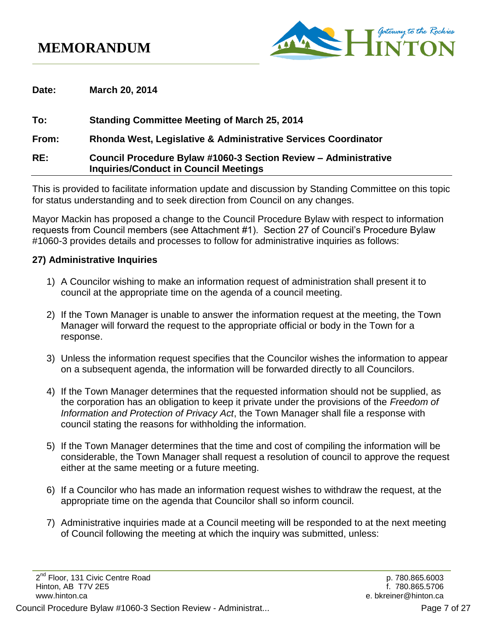## **MEMORANDUM**



**Date: March 20, 2014**

**To: Standing Committee Meeting of March 25, 2014 From: Rhonda West, Legislative & Administrative Services Coordinator RE: Council Procedure Bylaw #1060-3 Section Review – Administrative Inquiries/Conduct in Council Meetings**

This is provided to facilitate information update and discussion by Standing Committee on this topic for status understanding and to seek direction from Council on any changes.

Mayor Mackin has proposed a change to the Council Procedure Bylaw with respect to information requests from Council members (see Attachment #1). Section 27 of Council's Procedure Bylaw #1060-3 provides details and processes to follow for administrative inquiries as follows:

#### **27) Administrative Inquiries**

- 1) A Councilor wishing to make an information request of administration shall present it to council at the appropriate time on the agenda of a council meeting.
- 2) If the Town Manager is unable to answer the information request at the meeting, the Town Manager will forward the request to the appropriate official or body in the Town for a response.
- 3) Unless the information request specifies that the Councilor wishes the information to appear on a subsequent agenda, the information will be forwarded directly to all Councilors.
- 4) If the Town Manager determines that the requested information should not be supplied, as the corporation has an obligation to keep it private under the provisions of the *Freedom of Information and Protection of Privacy Act*, the Town Manager shall file a response with council stating the reasons for withholding the information.
- 5) If the Town Manager determines that the time and cost of compiling the information will be considerable, the Town Manager shall request a resolution of council to approve the request either at the same meeting or a future meeting.
- 6) If a Councilor who has made an information request wishes to withdraw the request, at the appropriate time on the agenda that Councilor shall so inform council.
- 7) Administrative inquiries made at a Council meeting will be responded to at the next meeting of Council following the meeting at which the inquiry was submitted, unless: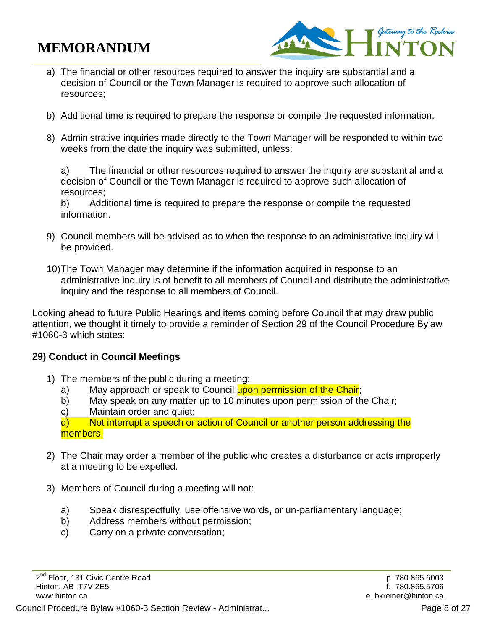# **MEMORANDUM**



- a) The financial or other resources required to answer the inquiry are substantial and a decision of Council or the Town Manager is required to approve such allocation of resources;
- b) Additional time is required to prepare the response or compile the requested information.
- 8) Administrative inquiries made directly to the Town Manager will be responded to within two weeks from the date the inquiry was submitted, unless:

a) The financial or other resources required to answer the inquiry are substantial and a decision of Council or the Town Manager is required to approve such allocation of resources;

b) Additional time is required to prepare the response or compile the requested information.

- 9) Council members will be advised as to when the response to an administrative inquiry will be provided.
- 10)The Town Manager may determine if the information acquired in response to an administrative inquiry is of benefit to all members of Council and distribute the administrative inquiry and the response to all members of Council.

Looking ahead to future Public Hearings and items coming before Council that may draw public attention, we thought it timely to provide a reminder of Section 29 of the Council Procedure Bylaw #1060-3 which states:

### **29) Conduct in Council Meetings**

- 1) The members of the public during a meeting:
	- a) May approach or speak to Council upon permission of the Chair;
	- b) May speak on any matter up to 10 minutes upon permission of the Chair;
	- c) Maintain order and quiet;

d) Not interrupt a speech or action of Council or another person addressing the members.

- 2) The Chair may order a member of the public who creates a disturbance or acts improperly at a meeting to be expelled.
- 3) Members of Council during a meeting will not:
	- a) Speak disrespectfully, use offensive words, or un-parliamentary language;
	- b) Address members without permission;
	- c) Carry on a private conversation;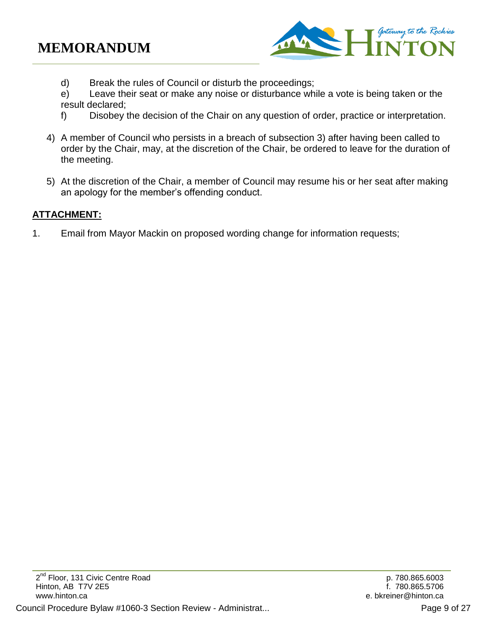

d) Break the rules of Council or disturb the proceedings;

e) Leave their seat or make any noise or disturbance while a vote is being taken or the result declared;

- f) Disobey the decision of the Chair on any question of order, practice or interpretation.
- 4) A member of Council who persists in a breach of subsection 3) after having been called to order by the Chair, may, at the discretion of the Chair, be ordered to leave for the duration of the meeting.
- 5) At the discretion of the Chair, a member of Council may resume his or her seat after making an apology for the member's offending conduct.

### **ATTACHMENT:**

1. Email from Mayor Mackin on proposed wording change for information requests;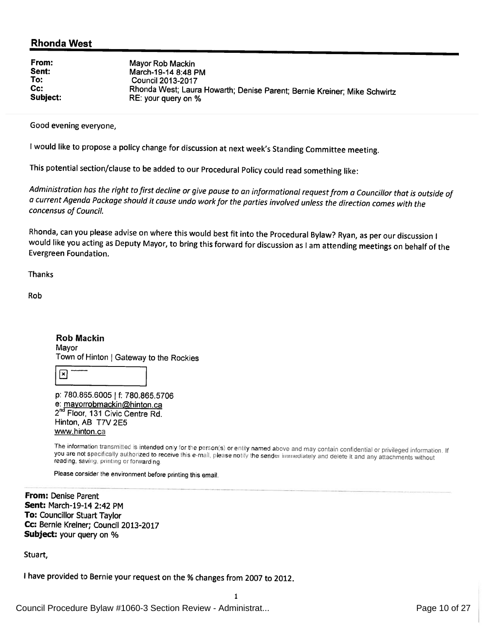#### **Rhonda West**

| Mayor Rob Mackin<br>March-19-14 8:48 PM<br>Council 2013-2017<br>Rhonda West; Laura Howarth; Denise Parent; Bernie Kreiner; Mike Schwirtz<br>RE: your query on % |
|-----------------------------------------------------------------------------------------------------------------------------------------------------------------|
|                                                                                                                                                                 |
|                                                                                                                                                                 |

Good evening everyone,

I would like to propose a policy change for discussion at next week's Standing Committee meeting.

This potential section/clause to be added to our Procedural Policy could read something like:

Administration has the right to first decline or give pause to an informational request from a Councillor that is outside of a current Agenda Package should it cause undo work for the parties involved unless the direction comes with the concensus of Council.

Rhonda, can you please advise on where this would best fit into the Procedural Bylaw? Ryan, as per our discussion I would like you acting as Deputy Mayor, to bring this forward for discussion as I am attending meetings on behalf of the Evergreen Foundation.

**Thanks** 

Rob

**Rob Mackin** Mavor Town of Hinton | Gateway to the Rockies

l×l

p: 780.865.6005 | f: 780.865.5706 e: mayorrobmackin@hinton.ca 2<sup>nd</sup> Floor, 131 Civic Centre Rd. Hinton, AB T7V 2E5 www.hinton.ca

The information transmitted is intended only for the person(s) or entity named above and may contain confidential or privileged information. If The ancimation dansmitted is intended only for the person(s) or entity named above and may contain confidential or privileged information and the person of the sender immediately and delete it and any attachments without r reading, saving, printing or forwarding

1.

Please consider the environment before printing this email.

From: Denise Parent Sent: March-19-14 2:42 PM To: Councillor Stuart Taylor Cc: Bernie Kreiner; Council 2013-2017 Subject: your query on %

Stuart,

I have provided to Bernie your request on the % changes from 2007 to 2012.

Council Procedure Bylaw #1060-3 Section Review - Administrat... Page 10 of 27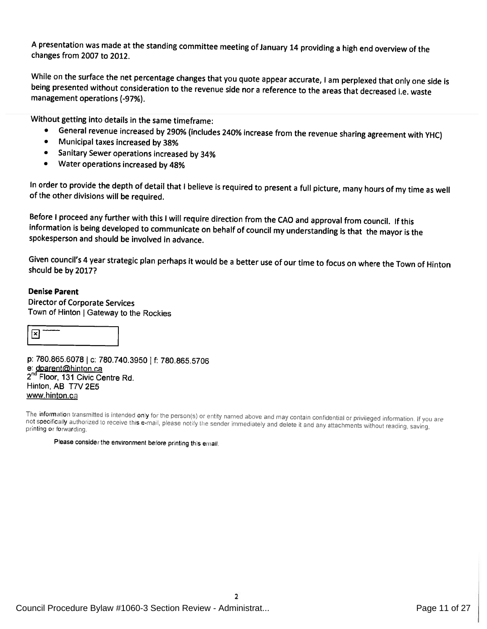A presentation was made at the standing committee meeting of January 14 providing a high end overview of the changes from 2007 to 2012.

While on the surface the net percentage changes that you quote appear accurate, I am perplexed that only one side is being presented without consideration to the revenue side nor a reference to the areas that decreased i.e. waste management operations (-97%).

Without getting into details in the same timeframe:

- General revenue increased by 290% (includes 240% increase from the revenue sharing agreement with YHC)
- $\bullet$ Municipal taxes increased by 38%
- Sanitary Sewer operations increased by 34%  $\bullet$
- Water operations increased by 48%  $\bullet$

In order to provide the depth of detail that I believe is required to present a full picture, many hours of my time as well of the other divisions will be required.

Before I proceed any further with this I will require direction from the CAO and approval from council. If this information is being developed to communicate on behalf of council my understanding is that the mayor is the spokesperson and should be involved in advance.

Given council's 4 year strategic plan perhaps it would be a better use of our time to focus on where the Town of Hinton should be by 2017?

#### **Denise Parent**

**Director of Corporate Services** Town of Hinton | Gateway to the Rockies

 $\boxed{\mathbf{x}}$ 

p: 780.865.6078 | c: 780.740.3950 | f: 780.865.5706 e: dparent@hinton.ca 2<sup>nd</sup> Floor, 131 Civic Centre Rd. Hinton, AB T7V 2E5 www.hinton.ca

The information transmitted is intended only for the person(s) or entity named above and may contain confidential or privileged information. If you are not specifically authorized to receive this e-mail, please notify the sender immediately and delete it and any attachments without reading, saving, privileged information. If you are not specifically authorized to receive printing or forwarding.

 $\overline{\phantom{a}}$ 

Please consider the environment before printing this email.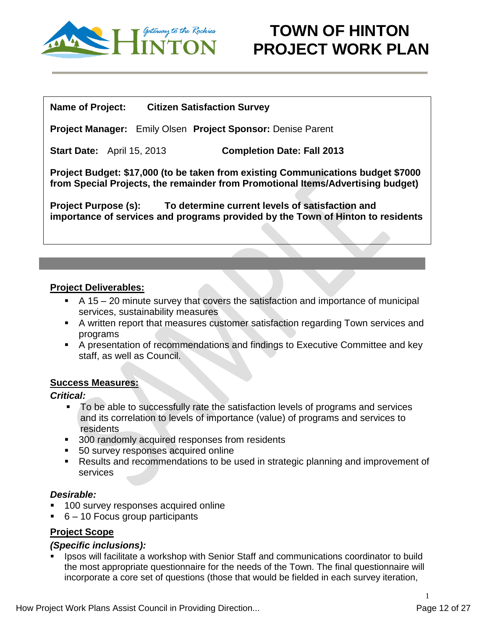

#### **Name of Project: Citizen Satisfaction Survey**

**Project Manager:** Emily Olsen **Project Sponsor:** Denise Parent

**Start Date:** April 15, 2013 **Completion Date: Fall 2013**

**Project Budget: \$17,000 (to be taken from existing Communications budget \$7000 from Special Projects, the remainder from Promotional Items/Advertising budget)**

**Project Purpose (s): To determine current levels of satisfaction and importance of services and programs provided by the Town of Hinton to residents**

#### **Project Deliverables:**

- A 15 20 minute survey that covers the satisfaction and importance of municipal services, sustainability measures
- A written report that measures customer satisfaction regarding Town services and programs
- A presentation of recommendations and findings to Executive Committee and key staff, as well as Council.

#### **Success Measures:**

#### *Critical:*

- To be able to successfully rate the satisfaction levels of programs and services and its correlation to levels of importance (value) of programs and services to residents
- **300 randomly acquired responses from residents**
- **50 survey responses acquired online**
- Results and recommendations to be used in strategic planning and improvement of services

### *Desirable:*

- 100 survey responses acquired online
- 6 10 Focus group participants

### **Project Scope**

### *(Specific inclusions):*

 Ipsos will facilitate a workshop with Senior Staff and communications coordinator to build the most appropriate questionnaire for the needs of the Town. The final questionnaire will incorporate a core set of questions (those that would be fielded in each survey iteration,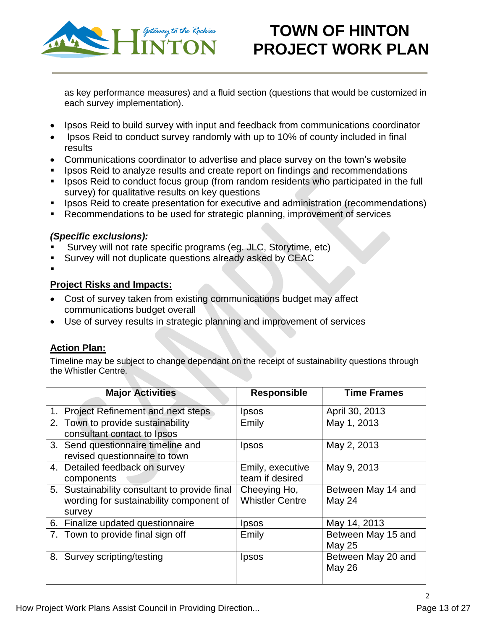

as key performance measures) and a fluid section (questions that would be customized in each survey implementation).

- Ipsos Reid to build survey with input and feedback from communications coordinator
- Ipsos Reid to conduct survey randomly with up to 10% of county included in final results
- Communications coordinator to advertise and place survey on the town's website
- Ipsos Reid to analyze results and create report on findings and recommendations
- **If Ipsos Reid to conduct focus group (from random residents who participated in the full** survey) for qualitative results on key questions
- Ipsos Reid to create presentation for executive and administration (recommendations)
- Recommendations to be used for strategic planning, improvement of services

#### *(Specific exclusions):*

- Survey will not rate specific programs (eg. JLC, Storytime, etc)
- Survey will not duplicate questions already asked by CEAC
- $\blacksquare$

### **Project Risks and Impacts:**

- Cost of survey taken from existing communications budget may affect communications budget overall
- Use of survey results in strategic planning and improvement of services

### **Action Plan:**

Timeline may be subject to change dependant on the receipt of sustainability questions through the Whistler Centre.

| <b>Major Activities</b>                                                                            | <b>Responsible</b>                     | <b>Time Frames</b>                  |
|----------------------------------------------------------------------------------------------------|----------------------------------------|-------------------------------------|
| 1. Project Refinement and next steps                                                               | Ipsos                                  | April 30, 2013                      |
| 2. Town to provide sustainability<br>consultant contact to Ipsos                                   | Emily                                  | May 1, 2013                         |
| 3. Send questionnaire timeline and<br>revised questionnaire to town                                | <i>lpsos</i>                           | May 2, 2013                         |
| 4. Detailed feedback on survey<br>components                                                       | Emily, executive<br>team if desired    | May 9, 2013                         |
| 5. Sustainability consultant to provide final<br>wording for sustainability component of<br>survey | Cheeying Ho,<br><b>Whistler Centre</b> | Between May 14 and<br>May 24        |
| 6. Finalize updated questionnaire                                                                  | Ipsos                                  | May 14, 2013                        |
| 7. Town to provide final sign off                                                                  | Emily                                  | Between May 15 and<br><b>May 25</b> |
| 8. Survey scripting/testing                                                                        | <i>lpsos</i>                           | Between May 20 and<br><b>May 26</b> |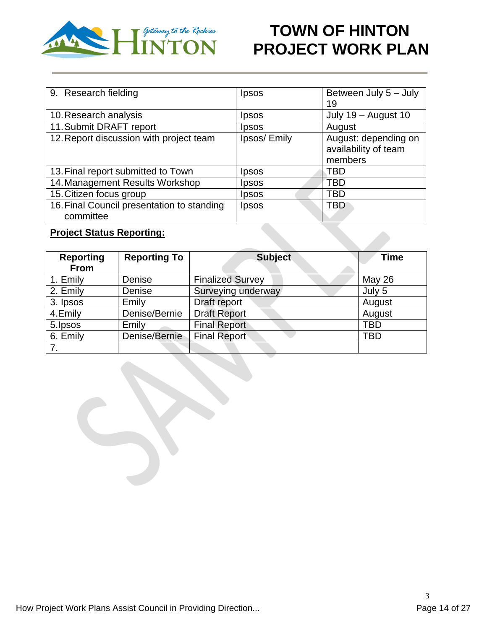

| 9. Research fielding                       | <i>lpsos</i> | Between July 5 - July |
|--------------------------------------------|--------------|-----------------------|
|                                            |              | 19                    |
| 10. Research analysis                      | Ipsos        | July 19 - August 10   |
| 11. Submit DRAFT report                    | Ipsos        | August                |
| 12. Report discussion with project team    | Ipsos/Emily  | August: depending on  |
|                                            |              | availability of team  |
|                                            |              | members               |
| 13. Final report submitted to Town         | Ipsos        | TBD                   |
| 14. Management Results Workshop            | Ipsos        | TBD                   |
| 15. Citizen focus group                    | Ipsos        | TBD                   |
| 16. Final Council presentation to standing | Ipsos        | TBD                   |
| committee                                  |              |                       |

### **Project Status Reporting:**

| <b>Subject</b><br><b>Reporting To</b><br><b>Reporting</b><br><b>From</b> |               |                         | <b>Time</b>   |
|--------------------------------------------------------------------------|---------------|-------------------------|---------------|
| 1. Emily                                                                 | Denise        | <b>Finalized Survey</b> | <b>May 26</b> |
| 2. Emily                                                                 | Denise        | Surveying underway      | July 5        |
| 3. Ipsos                                                                 | Emily         | Draft report            | August        |
| 4.Emily                                                                  | Denise/Bernie | <b>Draft Report</b>     | August        |
| 5. Ipsos                                                                 | Emily         | <b>Final Report</b>     | TBD           |
| 6. Emily                                                                 | Denise/Bernie | <b>Final Report</b>     | TBD           |
| 7.                                                                       |               |                         |               |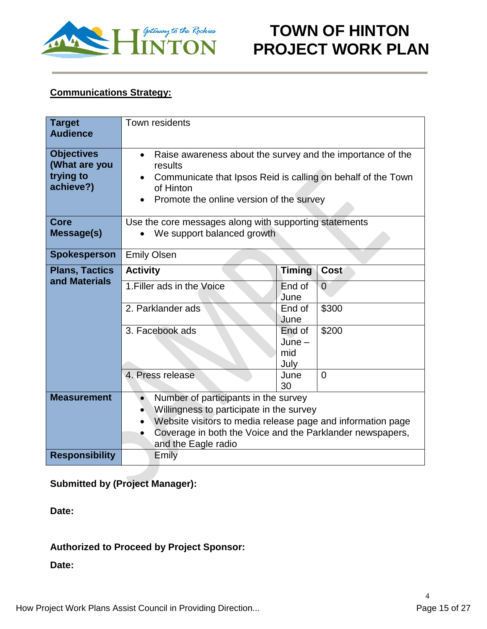

### **Communications Strategy:**

| <b>Target</b><br><b>Audience</b>                             | Town residents                                                                                                                                                                                                                                   |                                   |                |  |  |
|--------------------------------------------------------------|--------------------------------------------------------------------------------------------------------------------------------------------------------------------------------------------------------------------------------------------------|-----------------------------------|----------------|--|--|
| <b>Objectives</b><br>(What are you<br>trying to<br>achieve?) | Raise awareness about the survey and the importance of the<br>$\bullet$<br>results<br>Communicate that Ipsos Reid is calling on behalf of the Town<br>of Hinton<br>Promote the online version of the survey                                      |                                   |                |  |  |
| Core<br>Message(s)                                           | Use the core messages along with supporting statements<br>We support balanced growth                                                                                                                                                             |                                   |                |  |  |
| Spokesperson                                                 | <b>Emily Olsen</b>                                                                                                                                                                                                                               |                                   |                |  |  |
| <b>Plans, Tactics</b>                                        | <b>Activity</b>                                                                                                                                                                                                                                  | <b>Timing</b>                     | Cost           |  |  |
| and Materials                                                | 1. Filler ads in the Voice                                                                                                                                                                                                                       | End of<br>June                    | $\overline{0}$ |  |  |
|                                                              | 2. Parklander ads                                                                                                                                                                                                                                | End of<br>June                    | \$300          |  |  |
|                                                              | 3. Facebook ads                                                                                                                                                                                                                                  | End of<br>$June -$<br>mid<br>July | \$200          |  |  |
|                                                              | 4. Press release<br>June<br>$\overline{0}$<br>30                                                                                                                                                                                                 |                                   |                |  |  |
| <b>Measurement</b>                                           | Number of participants in the survey<br>Willingness to participate in the survey<br>Website visitors to media release page and information page<br>$\bullet$<br>Coverage in both the Voice and the Parklander newspapers,<br>and the Eagle radio |                                   |                |  |  |
| <b>Responsibility</b>                                        | Emily                                                                                                                                                                                                                                            |                                   |                |  |  |

### **Submitted by (Project Manager):**

**Date:**

### **Authorized to Proceed by Project Sponsor:**

**Date:**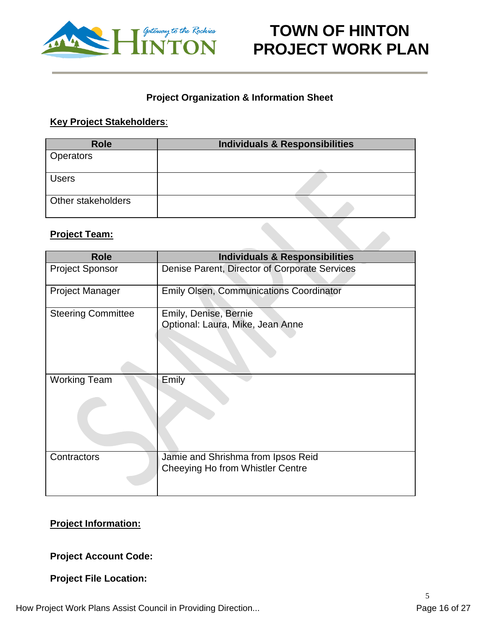

### **Project Organization & Information Sheet**

#### **Key Project Stakeholders**:

| <b>Role</b>        | <b>Individuals &amp; Responsibilities</b> |
|--------------------|-------------------------------------------|
| <b>Operators</b>   |                                           |
| <b>Users</b>       |                                           |
| Other stakeholders |                                           |

#### **Project Team:**

| <b>Role</b>               | <b>Individuals &amp; Responsibilities</b>      |
|---------------------------|------------------------------------------------|
| <b>Project Sponsor</b>    | Denise Parent, Director of Corporate Services  |
|                           |                                                |
| <b>Project Manager</b>    | <b>Emily Olsen, Communications Coordinator</b> |
|                           |                                                |
| <b>Steering Committee</b> | Emily, Denise, Bernie                          |
|                           | Optional: Laura, Mike, Jean Anne               |
|                           |                                                |
|                           |                                                |
|                           |                                                |
|                           |                                                |
| <b>Working Team</b>       | Emily                                          |
|                           |                                                |
|                           |                                                |
|                           |                                                |
|                           |                                                |
|                           |                                                |
|                           |                                                |
|                           |                                                |
| Contractors               | Jamie and Shrishma from Ipsos Reid             |
|                           | Cheeying Ho from Whistler Centre               |
|                           |                                                |
|                           |                                                |

### **Project Information:**

### **Project Account Code:**

### **Project File Location:**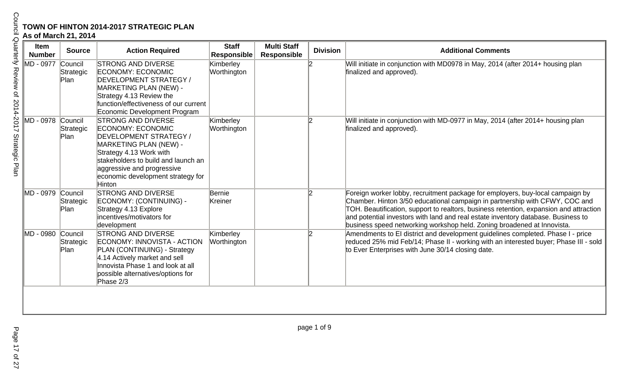# **TOWN OF HINTON 2014-2017 STRATEGIC PLAN**

| <b>Item</b><br><b>Number</b> | <b>Source</b>                | <b>Action Required</b>                                                                                                                                                                                                                                   | <b>Staff</b><br><b>Responsible</b> | <b>Multi Staff</b><br><b>Responsible</b> | <b>Division</b> | <b>Additional Comments</b>                                                                                                                                                                                                                                                                                                                                                                                              |
|------------------------------|------------------------------|----------------------------------------------------------------------------------------------------------------------------------------------------------------------------------------------------------------------------------------------------------|------------------------------------|------------------------------------------|-----------------|-------------------------------------------------------------------------------------------------------------------------------------------------------------------------------------------------------------------------------------------------------------------------------------------------------------------------------------------------------------------------------------------------------------------------|
| MD - 0977                    | Council<br>Strategic<br>Plan | <b>STRONG AND DIVERSE</b><br><b>ECONOMY: ECONOMIC</b><br>DEVELOPMENT STRATEGY /<br>MARKETING PLAN (NEW) -<br>Strategy 4.13 Review the<br>function/effectiveness of our current<br>Economic Development Program                                           | Kimberley<br>Worthington           |                                          |                 | Will initiate in conjunction with MD0978 in May, 2014 (after 2014+ housing plan<br>finalized and approved).                                                                                                                                                                                                                                                                                                             |
| MD - 0978                    | Council<br>Strategic<br>Plan | <b>STRONG AND DIVERSE</b><br>ECONOMY: ECONOMIC<br><b>DEVELOPMENT STRATEGY /</b><br>MARKETING PLAN (NEW) -<br>Strategy 4.13 Work with<br>stakeholders to build and launch an<br>aggressive and progressive<br>economic development strategy for<br>Hinton | Kimberley<br>Worthington           |                                          | 12              | Will initiate in conjunction with MD-0977 in May, 2014 (after 2014+ housing plan<br>finalized and approved).                                                                                                                                                                                                                                                                                                            |
| ∥MD - 0979                   | Council<br>Strategic<br>Plan | <b>STRONG AND DIVERSE</b><br>ECONOMY: (CONTINUING) -<br>Strategy 4.13 Explore<br>incentives/motivators for<br>development                                                                                                                                | Bernie<br>Kreiner                  |                                          | 12              | Foreign worker lobby, recruitment package for employers, buy-local campaign by<br>Chamber. Hinton 3/50 educational campaign in partnership with CFWY, COC and<br>TOH. Beautification, support to realtors, business retention, expansion and attraction<br>and potential investors with land and real estate inventory database. Business to<br>business speed networking workshop held. Zoning broadened at Innovista. |
| IMD - 0980                   | Council<br>Strategic<br>Plan | <b>STRONG AND DIVERSE</b><br>ECONOMY: INNOVISTA - ACTION<br>PLAN (CONTINUING) - Strategy<br>4.14 Actively market and sell<br>Innovista Phase 1 and look at all<br>possible alternatives/options for<br>Phase 2/3                                         | Kimberley<br>Worthington           |                                          | 12              | Amendments to EI district and development guidelines completed. Phase I - price<br>reduced 25% mid Feb/14; Phase II - working with an interested buyer; Phase III - sold<br>to Ever Enterprises with June 30/14 closing date.                                                                                                                                                                                           |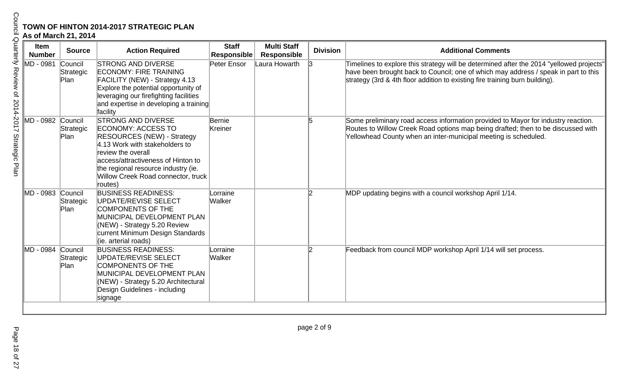| Item<br><b>Number</b> | <b>Source</b>                | <b>Action Required</b>                                                                                                                                                                                                                                                     | <b>Staff</b><br><b>Responsible</b> | <b>Multi Staff</b><br><b>Responsible</b> | <b>Division</b> | <b>Additional Comments</b>                                                                                                                                                                                                                                      |
|-----------------------|------------------------------|----------------------------------------------------------------------------------------------------------------------------------------------------------------------------------------------------------------------------------------------------------------------------|------------------------------------|------------------------------------------|-----------------|-----------------------------------------------------------------------------------------------------------------------------------------------------------------------------------------------------------------------------------------------------------------|
| IMD - 0981            | Council<br>Strategic<br>Plan | <b>STRONG AND DIVERSE</b><br><b>ECONOMY: FIRE TRAINING</b><br>FACILITY (NEW) - Strategy 4.13<br>Explore the potential opportunity of<br>leveraging our firefighting facilities<br>and expertise in developing a training<br>facility                                       | Peter Ensor                        | Laura Howarth                            |                 | Timelines to explore this strategy will be determined after the 2014 "yellowed projects"<br>have been brought back to Council; one of which may address / speak in part to this<br>strategy (3rd & 4th floor addition to existing fire training burn building). |
| ∥MD - 0982            | Council<br>Strategic<br>Plan | <b>STRONG AND DIVERSE</b><br>ECONOMY: ACCESS TO<br><b>RESOURCES (NEW) - Strategy</b><br>4.13 Work with stakeholders to<br>review the overall<br>access/attractiveness of Hinton to<br>the regional resource industry (ie.<br>Willow Creek Road connector, truck<br>routes) | Bernie<br>Kreiner                  |                                          |                 | Some preliminary road access information provided to Mayor for industry reaction.<br>Routes to Willow Creek Road options map being drafted; then to be discussed with<br>Yellowhead County when an inter-municipal meeting is scheduled.                        |
| MD - 0983 Council     | Strategic<br>Plan            | <b>BUSINESS READINESS:</b><br>UPDATE/REVISE SELECT<br><b>COMPONENTS OF THE</b><br>MUNICIPAL DEVELOPMENT PLAN<br>(NEW) - Strategy 5.20 Review<br>current Minimum Design Standards<br>(ie. arterial roads)                                                                   | _orraine<br>Walker                 |                                          | 12              | MDP updating begins with a council workshop April 1/14.                                                                                                                                                                                                         |
| MD - 0984 Council     | Strategic<br>Plan            | <b>BUSINESS READINESS:</b><br>UPDATE/REVISE SELECT<br><b>COMPONENTS OF THE</b><br>MUNICIPAL DEVELOPMENT PLAN<br>(NEW) - Strategy 5.20 Architectural<br>Design Guidelines - including<br>signage                                                                            | Lorraine<br>Walker                 |                                          | 12              | Feedback from council MDP workshop April 1/14 will set process.                                                                                                                                                                                                 |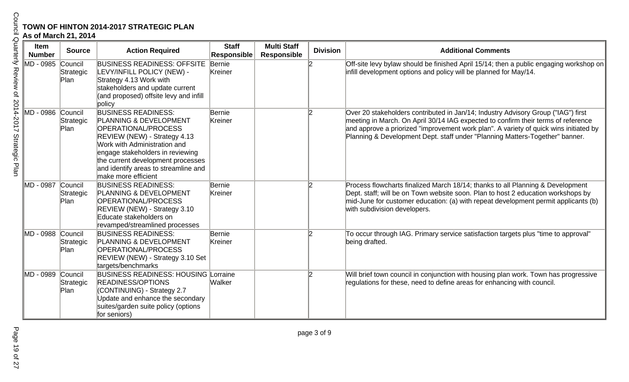| As of March 21, 2014  |                              | <b>TOWN OF HINTON 2014-2017 STRATEGIC PLAN</b>                                                                                                                                                                                                                                                        |                                    |                                          |                 |                                                                                                                                                                                                                                                                                                                                                 |
|-----------------------|------------------------------|-------------------------------------------------------------------------------------------------------------------------------------------------------------------------------------------------------------------------------------------------------------------------------------------------------|------------------------------------|------------------------------------------|-----------------|-------------------------------------------------------------------------------------------------------------------------------------------------------------------------------------------------------------------------------------------------------------------------------------------------------------------------------------------------|
| Item<br><b>Number</b> | <b>Source</b>                | <b>Action Required</b>                                                                                                                                                                                                                                                                                | <b>Staff</b><br><b>Responsible</b> | <b>Multi Staff</b><br><b>Responsible</b> | <b>Division</b> | <b>Additional Comments</b>                                                                                                                                                                                                                                                                                                                      |
| MD - 0985 Council     | Strategic<br>Plan            | <b>BUSINESS READINESS: OFFSITE</b><br>LEVY/INFILL POLICY (NEW) -<br>Strategy 4.13 Work with<br>stakeholders and update current<br>(and proposed) offsite levy and infill<br>policy                                                                                                                    | Bernie<br>Kreiner                  |                                          |                 | Off-site levy bylaw should be finished April 15/14; then a public engaging workshop on<br>infill development options and policy will be planned for May/14.                                                                                                                                                                                     |
| MD - 0986             | Council<br>Strategic<br>Plan | <b>BUSINESS READINESS:</b><br><b>PLANNING &amp; DEVELOPMENT</b><br><b>OPERATIONAL/PROCESS</b><br>REVIEW (NEW) - Strategy 4.13<br>Work with Administration and<br>engage stakeholders in reviewing<br>the current development processes<br>and identify areas to streamline and<br>make more efficient | Bernie<br>Kreiner                  |                                          | 12              | Over 20 stakeholders contributed in Jan/14; Industry Advisory Group ("IAG") first<br>meeting in March. On April 30/14 IAG expected to confirm their terms of reference<br>and approve a priorized "improvement work plan". A variety of quick wins initiated by<br>Planning & Development Dept. staff under "Planning Matters-Together" banner. |
| MD - 0987             | Council<br>Strategic<br>Plan | <b>BUSINESS READINESS:</b><br><b>PLANNING &amp; DEVELOPMENT</b><br><b>OPERATIONAL/PROCESS</b><br>REVIEW (NEW) - Strategy 3.10<br>Educate stakeholders on<br>revamped/streamlined processes                                                                                                            | Bernie<br>Kreiner                  |                                          | l2              | Process flowcharts finalized March 18/14; thanks to all Planning & Development<br>Dept. staff; will be on Town website soon. Plan to host 2 education workshops by<br>mid-June for customer education: (a) with repeat development permit applicants (b)<br>with subdivision developers.                                                        |
| MD - 0988 Council     | Strategic<br>Plan            | <b>BUSINESS READINESS:</b><br><b>PLANNING &amp; DEVELOPMENT</b><br><b>OPERATIONAL/PROCESS</b><br>REVIEW (NEW) - Strategy 3.10 Set<br>targets/benchmarks                                                                                                                                               | Bernie<br>Kreiner                  |                                          |                 | To occur through IAG. Primary service satisfaction targets plus "time to approval"<br>being drafted.                                                                                                                                                                                                                                            |
| IMD - 0989            | Council<br>Strategic<br>Plan | <b>BUSINESS READINESS: HOUSING</b><br><b>READINESS/OPTIONS</b><br>(CONTINUING) - Strategy 2.7<br>Update and enhance the secondary<br>suites/garden suite policy (options<br>for seniors)                                                                                                              | Lorraine<br>Walker                 |                                          | 12              | Will brief town council in conjunction with housing plan work. Town has progressive<br>regulations for these, need to define areas for enhancing with council.                                                                                                                                                                                  |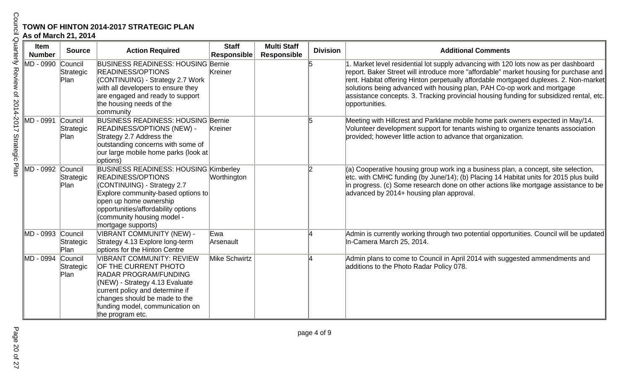|                       | <b>TOWN OF HINTON 2014-2017 STRATEGIC PLAN</b><br>As of March 21, 2014 |                                                                                                                                                                                                                                                                    |                                    |                                          |                 |                                                                                                                                                                                                                                                                                                                                                                                                                                                                  |  |  |  |
|-----------------------|------------------------------------------------------------------------|--------------------------------------------------------------------------------------------------------------------------------------------------------------------------------------------------------------------------------------------------------------------|------------------------------------|------------------------------------------|-----------------|------------------------------------------------------------------------------------------------------------------------------------------------------------------------------------------------------------------------------------------------------------------------------------------------------------------------------------------------------------------------------------------------------------------------------------------------------------------|--|--|--|
| Item<br><b>Number</b> | <b>Source</b>                                                          | <b>Action Required</b>                                                                                                                                                                                                                                             | <b>Staff</b><br><b>Responsible</b> | <b>Multi Staff</b><br><b>Responsible</b> | <b>Division</b> | <b>Additional Comments</b>                                                                                                                                                                                                                                                                                                                                                                                                                                       |  |  |  |
| MD - 0990             | Council<br>Strategic<br>Plan                                           | <b>BUSINESS READINESS: HOUSING Bernie</b><br><b>READINESS/OPTIONS</b><br>(CONTINUING) - Strategy 2.7 Work<br>with all developers to ensure they<br>are engaged and ready to support<br>the housing needs of the<br>community                                       | Kreiner                            |                                          | 15              | 1. Market level residential lot supply advancing with 120 lots now as per dashboard<br>report. Baker Street will introduce more "affordable" market housing for purchase and  <br>rent. Habitat offering Hinton perpetually affordable mortgaged duplexes. 2. Non-market<br>solutions being advanced with housing plan, PAH Co-op work and mortgage<br>assistance concepts. 3. Tracking provincial housing funding for subsidized rental, etc.<br>opportunities. |  |  |  |
| MD - 0991             | Council<br>Strategic<br>Plan                                           | <b>BUSINESS READINESS: HOUSING Bernie</b><br><b>READINESS/OPTIONS (NEW) -</b><br>Strategy 2.7 Address the<br>outstanding concerns with some of<br>our large mobile home parks (look at<br>options)                                                                 | Kreiner                            |                                          | 15              | Meeting with Hillcrest and Parklane mobile home park owners expected in May/14.<br>Volunteer development support for tenants wishing to organize tenants association<br>provided; however little action to advance that organization.                                                                                                                                                                                                                            |  |  |  |
| MD - 0992 Council     | Strategic<br>Plan                                                      | <b>BUSINESS READINESS: HOUSING Kimberley</b><br><b>READINESS/OPTIONS</b><br>(CONTINUING) - Strategy 2.7<br>Explore community-based options to<br>open up home ownership<br>opportunities/affordability options<br>(community housing model -<br>mortgage supports) | Worthington                        |                                          | 12              | (a) Cooperative housing group work ing a business plan, a concept, site selection,<br>etc. with CMHC funding (by June/14); (b) Placing 14 Habitat units for 2015 plus build<br>in progress. (c) Some research done on other actions like mortgage assistance to be<br>advanced by 2014+ housing plan approval.                                                                                                                                                   |  |  |  |
| ∥MD - 0993            | Council<br>Strategic<br>Plan                                           | VIBRANT COMMUNITY (NEW) -<br>Strategy 4.13 Explore long-term<br>options for the Hinton Centre                                                                                                                                                                      | Ewa<br>Arsenault                   |                                          |                 | Admin is currently working through two potential opportunities. Council will be updated<br>In-Camera March 25, 2014.                                                                                                                                                                                                                                                                                                                                             |  |  |  |
| IMD - 0994            | Council<br>Strategic<br>Plan                                           | <b>VIBRANT COMMUNITY: REVIEW</b><br>OF THE CURRENT PHOTO<br><b>RADAR PROGRAM/FUNDING</b><br>(NEW) - Strategy 4.13 Evaluate<br>current policy and determine if<br>changes should be made to the<br>funding model, communication on<br>the program etc.              | Mike Schwirtz                      |                                          |                 | Admin plans to come to Council in April 2014 with suggested ammendments and<br>additions to the Photo Radar Policy 078.                                                                                                                                                                                                                                                                                                                                          |  |  |  |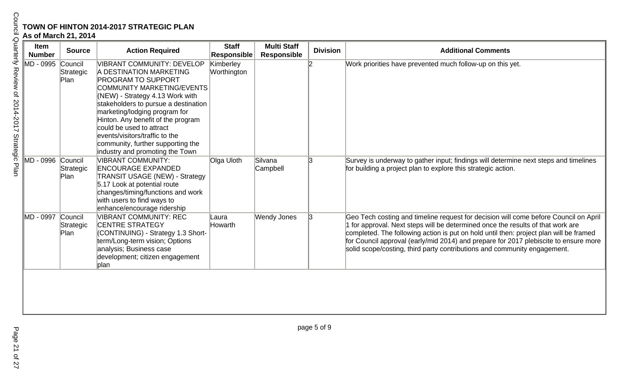| Item<br><b>Number</b> | <b>Source</b>                | <b>Action Required</b>                                                                                                                                                                                                                                                                                                                                                                                    | <b>Staff</b><br><b>Responsible</b> | <b>Multi Staff</b><br><b>Responsible</b> | <b>Division</b> | <b>Additional Comments</b>                                                                                                                                                                                                                                                                                                                                                                                                            |
|-----------------------|------------------------------|-----------------------------------------------------------------------------------------------------------------------------------------------------------------------------------------------------------------------------------------------------------------------------------------------------------------------------------------------------------------------------------------------------------|------------------------------------|------------------------------------------|-----------------|---------------------------------------------------------------------------------------------------------------------------------------------------------------------------------------------------------------------------------------------------------------------------------------------------------------------------------------------------------------------------------------------------------------------------------------|
| MD - 0995             | Council<br>Strategic<br>Plan | VIBRANT COMMUNITY: DEVELOP<br>A DESTINATION MARKETING<br><b>PROGRAM TO SUPPORT</b><br>COMMUNITY MARKETING/EVENTS<br>(NEW) - Strategy 4.13 Work with<br>stakeholders to pursue a destination<br>marketing/lodging program for<br>Hinton. Any benefit of the program<br>could be used to attract<br>levents/visitors/traffic to the<br>community, further supporting the<br>industry and promoting the Town | Kimberley<br>Worthington           |                                          | l2              | Work priorities have prevented much follow-up on this yet.                                                                                                                                                                                                                                                                                                                                                                            |
| ∥MD - 0996            | Council<br>Strategic<br>Plan | <b>VIBRANT COMMUNITY:</b><br><b>ENCOURAGE EXPANDED</b><br><b>TRANSIT USAGE (NEW) - Strategy</b><br>5.17 Look at potential route<br>changes/timing/functions and work<br>with users to find ways to<br>enhance/encourage ridership                                                                                                                                                                         | Olga Uloth                         | Silvana<br>Campbell                      | 13              | Survey is underway to gather input; findings will determine next steps and timelines<br>for building a project plan to explore this strategic action.                                                                                                                                                                                                                                                                                 |
| MD - 0997             | Council<br>Strategic<br>Plan | <b>VIBRANT COMMUNITY: REC</b><br><b>CENTRE STRATEGY</b><br>(CONTINUING) - Strategy 1.3 Short-<br>term/Long-term vision; Options<br>analysis; Business case<br>development; citizen engagement<br>plan                                                                                                                                                                                                     | Laura<br>Howarth                   | Wendy Jones                              | 3               | Geo Tech costing and timeline request for decision will come before Council on April<br>1 for approval. Next steps will be determined once the results of that work are<br>completed. The following action is put on hold until then: project plan will be framed<br>for Council approval (early/mid 2014) and prepare for 2017 plebiscite to ensure more<br>solid scope/costing, third party contributions and community engagement. |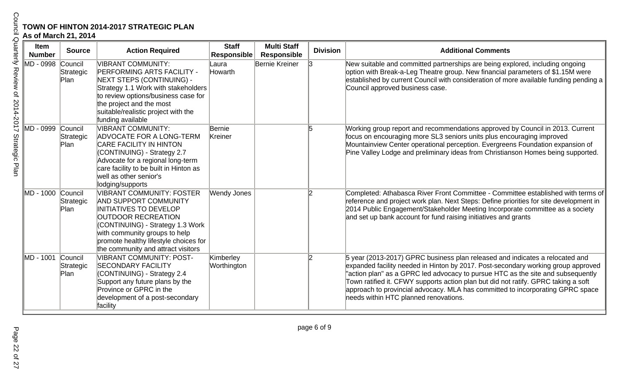|                     | As of March 21, 2014  |                              | TOWN OF HINTON 2014-2017 STRATEGIC PLAN                                                                                                                                                                                                                                    |                                    |                                          |                 |                                                                                                                                                                                                                                                                                                                                                                                                                                                                       |
|---------------------|-----------------------|------------------------------|----------------------------------------------------------------------------------------------------------------------------------------------------------------------------------------------------------------------------------------------------------------------------|------------------------------------|------------------------------------------|-----------------|-----------------------------------------------------------------------------------------------------------------------------------------------------------------------------------------------------------------------------------------------------------------------------------------------------------------------------------------------------------------------------------------------------------------------------------------------------------------------|
| Quarterly           | Item<br><b>Number</b> | <b>Source</b>                | <b>Action Required</b>                                                                                                                                                                                                                                                     | <b>Staff</b><br><b>Responsible</b> | <b>Multi Staff</b><br><b>Responsible</b> | <b>Division</b> | <b>Additional Comments</b>                                                                                                                                                                                                                                                                                                                                                                                                                                            |
| Review of 2014-2017 | MD - 0998 Council     | Strategic<br>Plan            | VIBRANT COMMUNITY:<br><b>PERFORMING ARTS FACILITY -</b><br>NEXT STEPS (CONTINUING) -<br>Strategy 1.1 Work with stakeholders<br>to review options/business case for<br>the project and the most<br>suitable/realistic project with the<br>funding available                 | Laura<br>Howarth                   | Bernie Kreiner                           | 13              | New suitable and committed partnerships are being explored, including ongoing<br>option with Break-a-Leg Theatre group. New financial parameters of \$1.15M were<br>established by current Council with consideration of more available funding pending a<br>Council approved business case.                                                                                                                                                                          |
| Strategic<br>Plan   | MD - 0999 Council     | Strategic<br>Plan            | VIBRANT COMMUNITY:<br><b>ADVOCATE FOR A LONG-TERM</b><br><b>CARE FACILITY IN HINTON</b><br>(CONTINUING) - Strategy 2.7<br>Advocate for a regional long-term<br>care facility to be built in Hinton as<br>well as other senior's<br>lodging/supports                        | Bernie<br>Kreiner                  |                                          |                 | Working group report and recommendations approved by Council in 2013. Current<br>focus on encouraging more SL3 seniors units plus encouraging improved<br>Mountainview Center operational perception. Evergreens Foundation expansion of<br>Pine Valley Lodge and preliminary ideas from Christianson Homes being supported.                                                                                                                                          |
|                     | MD - 1000 Council     | Strategic<br>Plan            | VIBRANT COMMUNITY: FOSTER<br><b>AND SUPPORT COMMUNITY</b><br><b>INITIATIVES TO DEVELOP</b><br><b>OUTDOOR RECREATION</b><br>CONTINUING) - Strategy 1.3 Work<br>with community groups to help<br>promote healthy lifestyle choices for<br>the community and attract visitors | Wendy Jones                        |                                          | 12              | Completed: Athabasca River Front Committee - Committee established with terms of<br>reference and project work plan. Next Steps: Define priorities for site development in<br>2014 Public Engagement/Stakeholder Meeting Incorporate committee as a society<br>and set up bank account for fund raising initiatives and grants                                                                                                                                        |
|                     | MD - 1001             | Council<br>Strategic<br>Plan | VIBRANT COMMUNITY: POST-<br><b>SECONDARY FACILITY</b><br>(CONTINUING) - Strategy 2.4<br>Support any future plans by the<br>Province or GPRC in the<br>development of a post-secondary<br>facility                                                                          | Kimberley<br>Worthington           |                                          |                 | 5 year (2013-2017) GPRC business plan released and indicates a relocated and<br>expanded facility needed in Hinton by 2017. Post-secondary working group approved<br>"action plan" as a GPRC led advocacy to pursue HTC as the site and subsequently<br>Town ratified it. CFWY supports action plan but did not ratify. GPRC taking a soft<br>approach to provincial advocacy. MLA has committed to incorporating GPRC space<br>needs within HTC planned renovations. |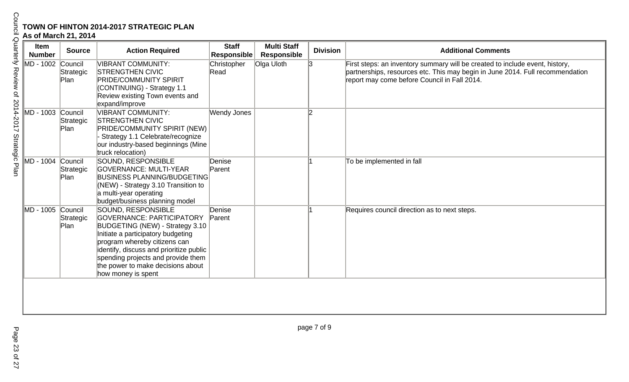| Item<br><b>Number</b> | <b>Source</b>                | <b>Action Required</b>                                                                                                                                                                                                                                                                               | <b>Staff</b><br><b>Responsible</b> | <b>Multi Staff</b><br><b>Responsible</b> | <b>Division</b> | <b>Additional Comments</b>                                                                                                                                                                                    |
|-----------------------|------------------------------|------------------------------------------------------------------------------------------------------------------------------------------------------------------------------------------------------------------------------------------------------------------------------------------------------|------------------------------------|------------------------------------------|-----------------|---------------------------------------------------------------------------------------------------------------------------------------------------------------------------------------------------------------|
| MD - 1002 Council     | Strategic<br>Plan            | <b>VIBRANT COMMUNITY:</b><br><b>STRENGTHEN CIVIC</b><br><b>PRIDE/COMMUNITY SPIRIT</b><br>(CONTINUING) - Strategy 1.1<br>Review existing Town events and<br>expand/improve                                                                                                                            | Christopher<br>Read                | Olga Uloth                               | 13              | First steps: an inventory summary will be created to include event, history,<br>partnerships, resources etc. This may begin in June 2014. Full recommendation<br>report may come before Council in Fall 2014. |
| MD - 1003 Council     | Strategic<br>Plan            | <b>VIBRANT COMMUNITY:</b><br><b>STRENGTHEN CIVIC</b><br>PRIDE/COMMUNITY SPIRIT (NEW)<br>Strategy 1.1 Celebrate/recognize<br>our industry-based beginnings (Mine<br>truck relocation)                                                                                                                 | Wendy Jones                        |                                          | l2              |                                                                                                                                                                                                               |
| MD - 1004             | Council<br>Strategic<br>Plan | SOUND, RESPONSIBLE<br><b>GOVERNANCE: MULTI-YEAR</b><br><b>BUSINESS PLANNING/BUDGETING</b><br>(NEW) - Strategy 3.10 Transition to<br>a multi-year operating<br>budget/business planning model                                                                                                         | Denise<br>Parent                   |                                          |                 | To be implemented in fall                                                                                                                                                                                     |
| MD - 1005 Council     | Strategic<br>Plan            | SOUND, RESPONSIBLE<br>GOVERNANCE: PARTICIPATORY<br>BUDGETING (NEW) - Strategy 3.10<br>Initiate a participatory budgeting<br>program whereby citizens can<br>identify, discuss and prioritize public<br>spending projects and provide them<br>the power to make decisions about<br>how money is spent | Denise<br>Parent                   |                                          |                 | Requires council direction as to next steps.                                                                                                                                                                  |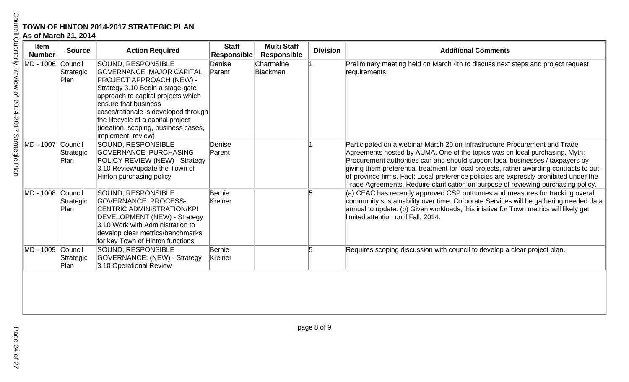| Item<br><b>Number</b> | <b>Source</b>                | <b>Action Required</b>                                                                                                                                                                                                                                                                                                                 | <b>Staff</b><br><b>Responsible</b> | <b>Multi Staff</b><br><b>Responsible</b> | <b>Division</b> | <b>Additional Comments</b>                                                                                                                                                                                                                                                                                                                                                                                                                                                                                             |
|-----------------------|------------------------------|----------------------------------------------------------------------------------------------------------------------------------------------------------------------------------------------------------------------------------------------------------------------------------------------------------------------------------------|------------------------------------|------------------------------------------|-----------------|------------------------------------------------------------------------------------------------------------------------------------------------------------------------------------------------------------------------------------------------------------------------------------------------------------------------------------------------------------------------------------------------------------------------------------------------------------------------------------------------------------------------|
| MD - 1006             | Council<br>Strategic<br>Plan | SOUND, RESPONSIBLE<br><b>GOVERNANCE: MAJOR CAPITAL</b><br><b>PROJECT APPROACH (NEW) -</b><br>Strategy 3.10 Begin a stage-gate<br>approach to capital projects which<br>ensure that business<br>cases/rationale is developed through<br>the lifecycle of a capital project<br>(ideation, scoping, business cases,<br>implement, review) | Denise<br>Parent                   | Charmaine<br>Blackman                    |                 | Preliminary meeting held on March 4th to discuss next steps and project request<br>requirements.                                                                                                                                                                                                                                                                                                                                                                                                                       |
| MD - 1007             | Council<br>Strategic<br>Plan | SOUND, RESPONSIBLE<br><b>GOVERNANCE: PURCHASING</b><br>POLICY REVIEW (NEW) - Strategy<br>3.10 Review/update the Town of<br>Hinton purchasing policy                                                                                                                                                                                    | Denise<br>Parent                   |                                          |                 | Participated on a webinar March 20 on Infrastructure Procurement and Trade<br>Agreements hosted by AUMA. One of the topics was on local purchasing. Myth:<br>Procurement authorities can and should support local businesses / taxpayers by<br>giving them preferential treatment for local projects, rather awarding contracts to out-<br>of-province firms. Fact: Local preference policies are expressly prohibited under the<br>Trade Agreements. Require clarification on purpose of reviewing purchasing policy. |
| MD - 1008 Council     | Strategic<br>Plan            | SOUND, RESPONSIBLE<br><b>GOVERNANCE: PROCESS-</b><br>CENTRIC ADMINISTRATION/KPI<br>DEVELOPMENT (NEW) - Strategy<br>3.10 Work with Administration to<br>develop clear metrics/benchmarks<br>for key Town of Hinton functions                                                                                                            | Bernie<br>Kreiner                  |                                          |                 | (a) CEAC has recently approved CSP outcomes and measures for tracking overall<br>community sustainability over time. Corporate Services will be gathering needed data<br>annual to update. (b) Given workloads, this iniative for Town metrics will likely get<br>limited attention until Fall, 2014.                                                                                                                                                                                                                  |
| MD - 1009             | Council<br>Strategic<br>Plan | SOUND, RESPONSIBLE<br>GOVERNANCE: (NEW) - Strategy<br>3.10 Operational Review                                                                                                                                                                                                                                                          | Bernie<br>Kreiner                  |                                          | 5               | Requires scoping discussion with council to develop a clear project plan.                                                                                                                                                                                                                                                                                                                                                                                                                                              |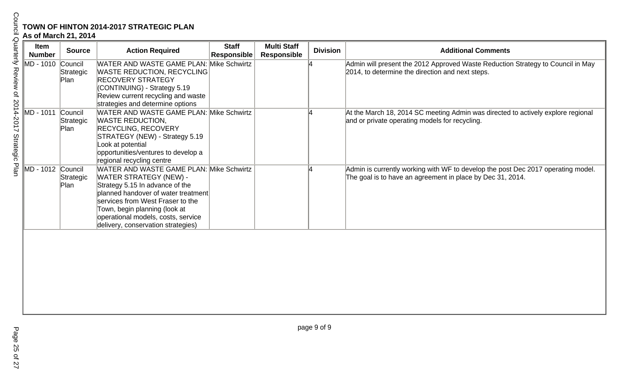| TOWN OF HINTON 2014-2017 STRATEGIC PLAN<br>As of March 21, 2014 |                              |                                                                                                                                                                                                                                                                                                      |                                    |                                          |                 |                                                                                                                                                |  |  |
|-----------------------------------------------------------------|------------------------------|------------------------------------------------------------------------------------------------------------------------------------------------------------------------------------------------------------------------------------------------------------------------------------------------------|------------------------------------|------------------------------------------|-----------------|------------------------------------------------------------------------------------------------------------------------------------------------|--|--|
| <b>Item</b><br><b>Number</b>                                    | <b>Source</b>                | <b>Action Required</b>                                                                                                                                                                                                                                                                               | <b>Staff</b><br><b>Responsible</b> | <b>Multi Staff</b><br><b>Responsible</b> | <b>Division</b> | <b>Additional Comments</b>                                                                                                                     |  |  |
| MD - 1010 Council                                               | Strategic<br>Plan            | <b>WATER AND WASTE GAME PLAN: Mike Schwirtz</b><br><b>WASTE REDUCTION, RECYCLING</b><br><b>RECOVERY STRATEGY</b><br>(CONTINUING) - Strategy 5.19<br>Review current recycling and waste<br>strategies and determine options                                                                           |                                    |                                          |                 | Admin will present the 2012 Approved Waste Reduction Strategy to Council in May<br>2014, to determine the direction and next steps.            |  |  |
| MD - 1011                                                       | Council<br>Strategic<br>Plan | WATER AND WASTE GAME PLAN: Mike Schwirtz<br><b>WASTE REDUCTION,</b><br><b>RECYCLING, RECOVERY</b><br>STRATEGY (NEW) - Strategy 5.19<br>Look at potential<br>opportunities/ventures to develop a<br>regional recycling centre                                                                         |                                    |                                          |                 | At the March 18, 2014 SC meeting Admin was directed to actively explore regional<br>and or private operating models for recycling.             |  |  |
| MD - 1012 Council                                               | Strategic<br>Plan            | WATER AND WASTE GAME PLAN: Mike Schwirtz<br><b>WATER STRATEGY (NEW) -</b><br>Strategy 5.15 In advance of the<br>planned handover of water treatment<br>services from West Fraser to the<br>Town, begin planning (look at<br>operational models, costs, service<br>delivery, conservation strategies) |                                    |                                          |                 | Admin is currently working with WF to develop the post Dec 2017 operating model.<br>The goal is to have an agreement in place by Dec 31, 2014. |  |  |
|                                                                 |                              |                                                                                                                                                                                                                                                                                                      |                                    |                                          |                 |                                                                                                                                                |  |  |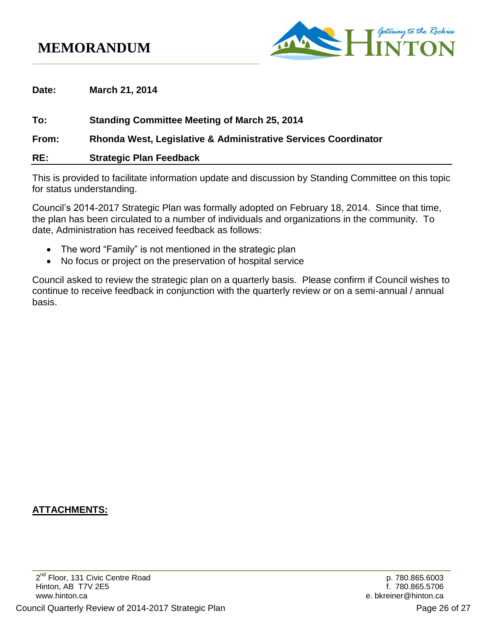# **MEMORANDUM**



**Date: March 21, 2014**

**To: Standing Committee Meeting of March 25, 2014 From: Rhonda West, Legislative & Administrative Services Coordinator RE: Strategic Plan Feedback**

This is provided to facilitate information update and discussion by Standing Committee on this topic for status understanding.

Council's 2014-2017 Strategic Plan was formally adopted on February 18, 2014. Since that time, the plan has been circulated to a number of individuals and organizations in the community. To date, Administration has received feedback as follows:

- The word "Family" is not mentioned in the strategic plan
- No focus or project on the preservation of hospital service

Council asked to review the strategic plan on a quarterly basis. Please confirm if Council wishes to continue to receive feedback in conjunction with the quarterly review or on a semi-annual / annual basis.

### **ATTACHMENTS:**